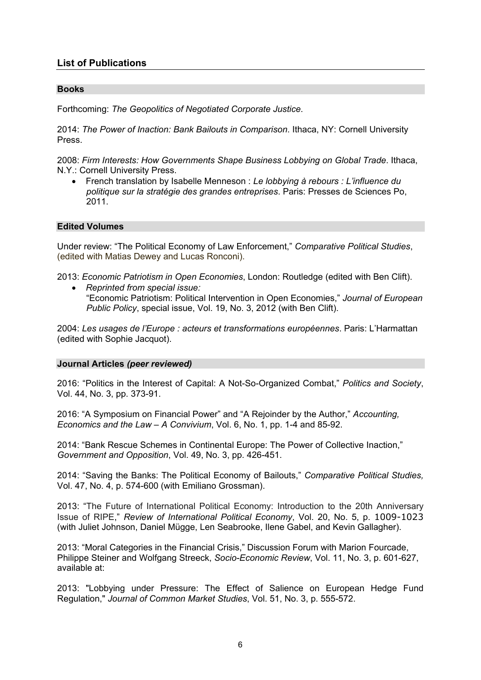# **List of Publications**

### **Books**

Forthcoming: *The Geopolitics of Negotiated Corporate Justice*.

2014: *The Power of Inaction: Bank Bailouts in Comparison*. Ithaca, NY: Cornell University Press.

2008: *Firm Interests: How Governments Shape Business Lobbying on Global Trade*. Ithaca, N.Y.: Cornell University Press.

 French translation by Isabelle Menneson : *Le lobbying à rebours : L'influence du politique sur la stratégie des grandes entreprises*. Paris: Presses de Sciences Po, 2011.

### **Edited Volumes**

Under review: "The Political Economy of Law Enforcement," *Comparative Political Studies*, (edited with Matias Dewey and Lucas Ronconi).

2013: *Economic Patriotism in Open Economies*, London: Routledge (edited with Ben Clift).

 *Reprinted from special issue:*  "Economic Patriotism: Political Intervention in Open Economies," *Journal of European Public Policy*, special issue, Vol. 19, No. 3, 2012 (with Ben Clift).

2004: *Les usages de l'Europe : acteurs et transformations européennes*. Paris: L'Harmattan (edited with Sophie Jacquot).

### **Journal Articles** *(peer reviewed)*

2016: "Politics in the Interest of Capital: A Not-So-Organized Combat," *Politics and Society*, Vol. 44, No. 3, pp. 373-91.

2016: "A Symposium on Financial Power" and "A Rejoinder by the Author," *Accounting, Economics and the Law – A Convivium*, Vol. 6, No. 1, pp. 1-4 and 85-92.

2014: "Bank Rescue Schemes in Continental Europe: The Power of Collective Inaction," *Government and Opposition*, Vol. 49, No. 3, pp. 426-451.

2014: "Saving the Banks: The Political Economy of Bailouts," *Comparative Political Studies,*  Vol. 47, No. 4, p. 574-600 (with Emiliano Grossman).

2013: "The Future of International Political Economy: Introduction to the 20th Anniversary Issue of RIPE," *Review of International Political Economy*, Vol. 20, No. 5, p. 1009-1023 (with Juliet Johnson, Daniel Mügge, Len Seabrooke, Ilene Gabel, and Kevin Gallagher).

2013: "Moral Categories in the Financial Crisis," Discussion Forum with Marion Fourcade, Philippe Steiner and Wolfgang Streeck, *Socio-Economic Review*, Vol. 11, No. 3, p. 601-627, available at:

2013: "Lobbying under Pressure: The Effect of Salience on European Hedge Fund Regulation," *Journal of Common Market Studies*, Vol. 51, No. 3, p. 555-572.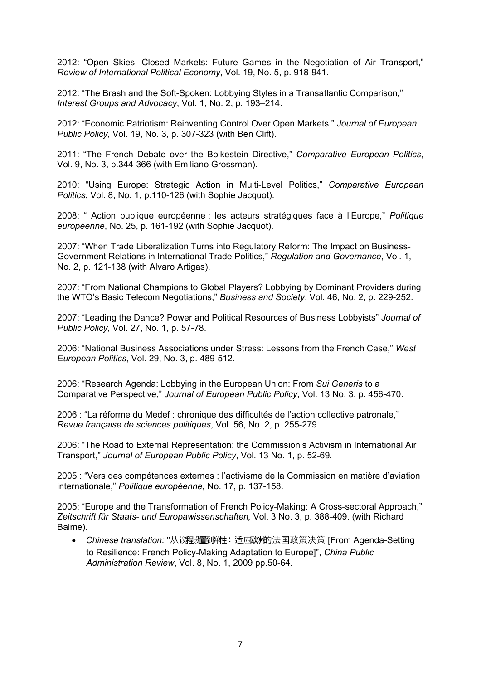2012: "Open Skies, Closed Markets: Future Games in the Negotiation of Air Transport," *Review of International Political Economy*, Vol. 19, No. 5, p. 918-941.

2012: "The Brash and the Soft-Spoken: Lobbying Styles in a Transatlantic Comparison," *Interest Groups and Advocacy*, Vol. 1, No. 2, p. 193–214.

2012: "Economic Patriotism: Reinventing Control Over Open Markets," *Journal of European Public Policy*, Vol. 19, No. 3, p. 307-323 (with Ben Clift).

2011: "The French Debate over the Bolkestein Directive," *Comparative European Politics*, Vol. 9, No. 3, p.344-366 (with Emiliano Grossman).

2010: "Using Europe: Strategic Action in Multi-Level Politics," *Comparative European Politics*, Vol. 8, No. 1, p.110-126 (with Sophie Jacquot).

2008: " Action publique européenne : les acteurs stratégiques face à l'Europe," *Politique européenne*, No. 25, p. 161-192 (with Sophie Jacquot).

2007: "When Trade Liberalization Turns into Regulatory Reform: The Impact on Business-Government Relations in International Trade Politics," *Regulation and Governance*, Vol. 1, No. 2, p. 121-138 (with Alvaro Artigas).

2007: "From National Champions to Global Players? Lobbying by Dominant Providers during the WTO's Basic Telecom Negotiations," *Business and Society*, Vol. 46, No. 2, p. 229-252.

2007: "Leading the Dance? Power and Political Resources of Business Lobbyists" *Journal of Public Policy*, Vol. 27, No. 1, p. 57-78.

2006: "National Business Associations under Stress: Lessons from the French Case," *West European Politics*, Vol. 29, No. 3, p. 489-512.

2006: "Research Agenda: Lobbying in the European Union: From *Sui Generis* to a Comparative Perspective," *Journal of European Public Policy*, Vol. 13 No. 3, p. 456-470.

2006 : "La réforme du Medef : chronique des difficultés de l'action collective patronale," *Revue française de sciences politiques*, Vol. 56, No. 2, p. 255-279.

2006: "The Road to External Representation: the Commission's Activism in International Air Transport," *Journal of European Public Policy*, Vol. 13 No. 1, p. 52-69.

2005 : "Vers des compétences externes : l'activisme de la Commission en matière d'aviation internationale," *Politique européenne,* No. 17, p. 137-158.

2005: "Europe and the Transformation of French Policy-Making: A Cross-sectoral Approach," *Zeitschrift für Staats- und Europawissenschaften,* Vol. 3 No. 3, p. 388-409. (with Richard Balme).

 *Chinese translation:* "从议设 弹 程 置到 性:适应欧洲的法国政策决策 [From Agenda-Setting to Resilience: French Policy-Making Adaptation to Europe]", *China Public Administration Review*, Vol. 8, No. 1, 2009 pp.50-64.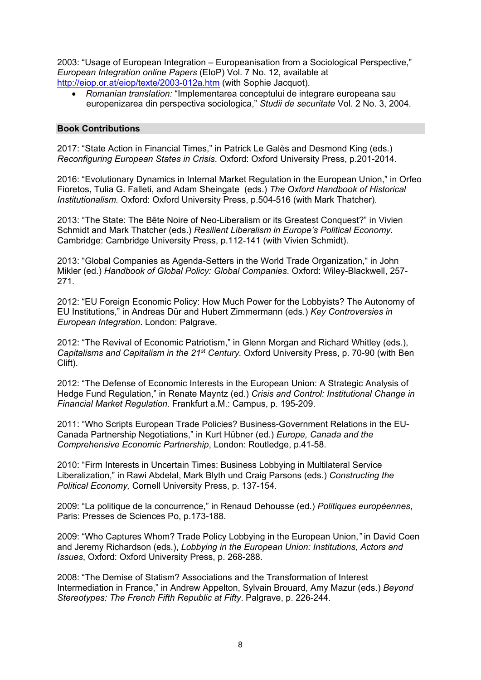2003: "Usage of European Integration – Europeanisation from a Sociological Perspective," *European Integration online Papers* (EIoP) Vol. 7 No. 12, available at http://eiop.or.at/eiop/texte/2003-012a.htm (with Sophie Jacquot).

 *Romanian translation:* "Implementarea conceptului de integrare europeana sau europenizarea din perspectiva sociologica," *Studii de securitate* Vol. 2 No. 3, 2004.

### **Book Contributions**

2017: "State Action in Financial Times," in Patrick Le Galès and Desmond King (eds.) *Reconfiguring European States in Crisis*. Oxford: Oxford University Press, p.201-2014.

2016: "Evolutionary Dynamics in Internal Market Regulation in the European Union," in Orfeo Fioretos, Tulia G. Falleti, and Adam Sheingate (eds.) *The Oxford Handbook of Historical Institutionalism.* Oxford: Oxford University Press, p.504-516 (with Mark Thatcher).

2013: "The State: The Bête Noire of Neo-Liberalism or its Greatest Conquest?" in Vivien Schmidt and Mark Thatcher (eds.) *Resilient Liberalism in Europe's Political Economy*. Cambridge: Cambridge University Press, p.112-141 (with Vivien Schmidt).

2013: "Global Companies as Agenda-Setters in the World Trade Organization," in John Mikler (ed.) *Handbook of Global Policy: Global Companies*. Oxford: Wiley-Blackwell, 257- 271.

2012: "EU Foreign Economic Policy: How Much Power for the Lobbyists? The Autonomy of EU Institutions," in Andreas Dür and Hubert Zimmermann (eds.) *Key Controversies in European Integration*. London: Palgrave.

2012: "The Revival of Economic Patriotism," in Glenn Morgan and Richard Whitley (eds.), *Capitalisms and Capitalism in the 21st Century.* Oxford University Press, p. 70-90 (with Ben Clift).

2012: "The Defense of Economic Interests in the European Union: A Strategic Analysis of Hedge Fund Regulation," in Renate Mayntz (ed.) *Crisis and Control: Institutional Change in Financial Market Regulation*. Frankfurt a.M.: Campus, p. 195-209.

2011: "Who Scripts European Trade Policies? Business-Government Relations in the EU-Canada Partnership Negotiations," in Kurt Hübner (ed.) *Europe, Canada and the Comprehensive Economic Partnership*, London: Routledge, p.41-58.

2010: "Firm Interests in Uncertain Times: Business Lobbying in Multilateral Service Liberalization," in Rawi Abdelal, Mark Blyth und Craig Parsons (eds.) *Constructing the Political Economy,* Cornell University Press, p. 137-154.

2009: "La politique de la concurrence," in Renaud Dehousse (ed.) *Politiques européennes*, Paris: Presses de Sciences Po, p.173-188.

2009: "Who Captures Whom? Trade Policy Lobbying in the European Union,*"* in David Coen and Jeremy Richardson (eds.), *Lobbying in the European Union: Institutions, Actors and Issues*, Oxford: Oxford University Press, p. 268-288.

2008: "The Demise of Statism? Associations and the Transformation of Interest Intermediation in France," in Andrew Appelton, Sylvain Brouard, Amy Mazur (eds.) *Beyond Stereotypes: The French Fifth Republic at Fifty*. Palgrave, p. 226-244.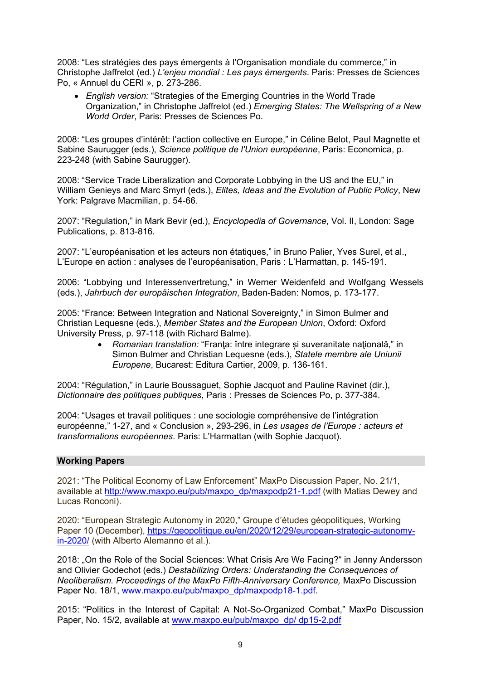2008: "Les stratégies des pays émergents à l'Organisation mondiale du commerce," in Christophe Jaffrelot (ed.) *L'enjeu mondial : Les pays émergents*. Paris: Presses de Sciences Po, « Annuel du CERI », p. 273-286.

 *English version:* "Strategies of the Emerging Countries in the World Trade Organization," in Christophe Jaffrelot (ed.) *Emerging States: The Wellspring of a New World Order*, Paris: Presses de Sciences Po.

2008: "Les groupes d'intérêt: l'action collective en Europe," in Céline Belot, Paul Magnette et Sabine Saurugger (eds.), *Science politique de l'Union européenne*, Paris: Economica, p. 223-248 (with Sabine Saurugger).

2008: "Service Trade Liberalization and Corporate Lobbying in the US and the EU," in William Genieys and Marc Smyrl (eds.), *Elites, Ideas and the Evolution of Public Policy*, New York: Palgrave Macmilian, p. 54-66.

2007: "Regulation," in Mark Bevir (ed.), *Encyclopedia of Governance*, Vol. II, London: Sage Publications, p. 813-816.

2007: "L'européanisation et les acteurs non étatiques," in Bruno Palier, Yves Surel, et al., L'Europe en action : analyses de l'européanisation, Paris : L'Harmattan, p. 145-191.

2006: "Lobbying und Interessenvertretung," in Werner Weidenfeld and Wolfgang Wessels (eds.), *Jahrbuch der europäischen Integration*, Baden-Baden: Nomos, p. 173-177.

2005: "France: Between Integration and National Sovereignty," in Simon Bulmer and Christian Lequesne (eds.), *Member States and the European Union*, Oxford: Oxford University Press, p. 97-118 (with Richard Balme).

> *Romanian translation:* "Franţa: între integrare și suveranitate naţională," in Simon Bulmer and Christian Lequesne (eds.), *Statele membre ale Uniunii Europene*, Bucarest: Editura Cartier, 2009, p. 136-161.

2004: "Régulation," in Laurie Boussaguet, Sophie Jacquot and Pauline Ravinet (dir.), *Dictionnaire des politiques publiques*, Paris : Presses de Sciences Po, p. 377-384.

2004: "Usages et travail politiques : une sociologie compréhensive de l'intégration européenne," 1-27, and « Conclusion », 293-296, in *Les usages de l'Europe : acteurs et transformations européennes*. Paris: L'Harmattan (with Sophie Jacquot).

## **Working Papers**

2021: "The Political Economy of Law Enforcement" MaxPo Discussion Paper, No. 21/1, available at http://www.maxpo.eu/pub/maxpo\_dp/maxpodp21-1.pdf (with Matias Dewey and Lucas Ronconi).

2020: "European Strategic Autonomy in 2020," Groupe d'études géopolitiques, Working Paper 10 (December), https://geopolitique.eu/en/2020/12/29/european-strategic-autonomyin-2020/ (with Alberto Alemanno et al.).

2018: "On the Role of the Social Sciences: What Crisis Are We Facing?" in Jenny Andersson and Olivier Godechot (eds.) *Destabilizing Orders: Understanding the Consequences of Neoliberalism. Proceedings of the MaxPo Fifth-Anniversary Conference,* MaxPo Discussion Paper No. 18/1, www.maxpo.eu/pub/maxpo\_dp/maxpodp18-1.pdf.

2015: "Politics in the Interest of Capital: A Not-So-Organized Combat," MaxPo Discussion Paper, No. 15/2, available at www.maxpo.eu/pub/maxpo\_dp/ dp15-2.pdf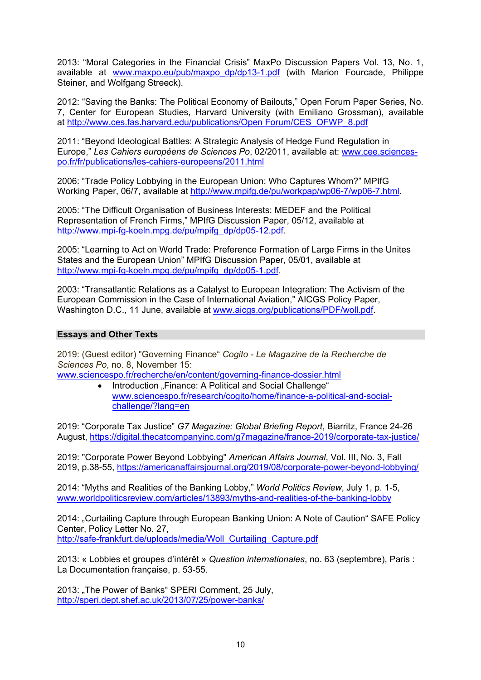2013: "Moral Categories in the Financial Crisis" MaxPo Discussion Papers Vol. 13, No. 1, available at www.maxpo.eu/pub/maxpo\_dp/dp13-1.pdf (with Marion Fourcade, Philippe Steiner, and Wolfgang Streeck).

2012: "Saving the Banks: The Political Economy of Bailouts," Open Forum Paper Series, No. 7, Center for European Studies, Harvard University (with Emiliano Grossman), available at http://www.ces.fas.harvard.edu/publications/Open Forum/CES\_OFWP\_8.pdf

2011: "Beyond Ideological Battles: A Strategic Analysis of Hedge Fund Regulation in Europe," *Les Cahiers européens de Sciences Po*, 02/2011, available at: www.cee.sciencespo.fr/fr/publications/les-cahiers-europeens/2011.html

2006: "Trade Policy Lobbying in the European Union: Who Captures Whom?" MPIfG Working Paper, 06/7, available at http://www.mpifg.de/pu/workpap/wp06-7/wp06-7.html.

2005: "The Difficult Organisation of Business Interests: MEDEF and the Political Representation of French Firms," MPIfG Discussion Paper, 05/12, available at http://www.mpi-fg-koeln.mpg.de/pu/mpifg\_dp/dp05-12.pdf.

2005: "Learning to Act on World Trade: Preference Formation of Large Firms in the Unites States and the European Union" MPIfG Discussion Paper, 05/01, available at http://www.mpi-fg-koeln.mpg.de/pu/mpifg\_dp/dp05-1.pdf.

2003: "Transatlantic Relations as a Catalyst to European Integration: The Activism of the European Commission in the Case of International Aviation," AICGS Policy Paper, Washington D.C., 11 June, available at www.aicgs.org/publications/PDF/woll.pdf.

## **Essays and Other Texts**

2019: (Guest editor) "Governing Finance" *Cogito - Le Magazine de la Recherche de Sciences Po*, no. 8, November 15:

www.sciencespo.fr/recherche/en/content/governing-finance-dossier.html

• Introduction "Finance: A Political and Social Challenge" www.sciencespo.fr/research/cogito/home/finance-a-political-and-socialchallenge/?lang=en

2019: "Corporate Tax Justice" *G7 Magazine: Global Briefing Report*, Biarritz, France 24-26 August, https://digital.thecatcompanyinc.com/g7magazine/france-2019/corporate-tax-justice/

2019: "Corporate Power Beyond Lobbying" *American Affairs Journal*, Vol. III, No. 3, Fall 2019, p.38-55, https://americanaffairsjournal.org/2019/08/corporate-power-beyond-lobbying/

2014: "Myths and Realities of the Banking Lobby," *World Politics Review*, July 1, p. 1-5, www.worldpoliticsreview.com/articles/13893/myths-and-realities-of-the-banking-lobby

2014: "Curtailing Capture through European Banking Union: A Note of Caution" SAFE Policy Center, Policy Letter No. 27, http://safe-frankfurt.de/uploads/media/Woll\_Curtailing\_Capture.pdf

2013: « Lobbies et groupes d'intérêt » *Question internationales*, no. 63 (septembre), Paris : La Documentation française, p. 53-55.

2013: "The Power of Banks" SPERI Comment, 25 July, http://speri.dept.shef.ac.uk/2013/07/25/power-banks/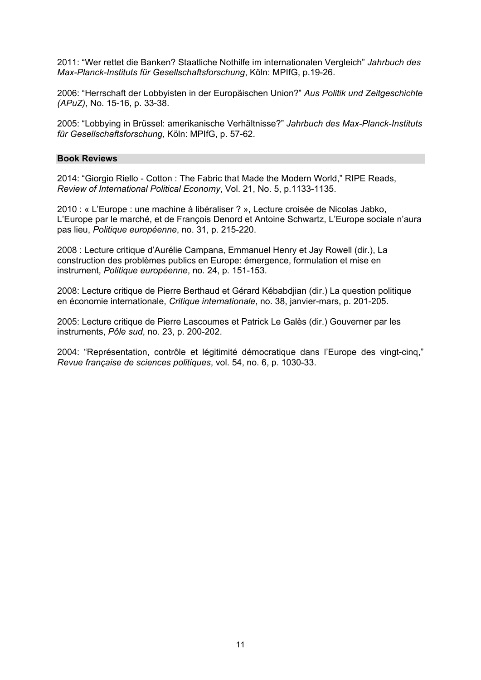2011: "Wer rettet die Banken? Staatliche Nothilfe im internationalen Vergleich" *Jahrbuch des Max-Planck-Instituts für Gesellschaftsforschung*, Köln: MPIfG, p.19-26.

2006: "Herrschaft der Lobbyisten in der Europäischen Union?" *Aus Politik und Zeitgeschichte (APuZ)*, No. 15-16, p. 33-38.

2005: "Lobbying in Brüssel: amerikanische Verhältnisse?" *Jahrbuch des Max-Planck-Instituts für Gesellschaftsforschung*, Köln: MPIfG, p. 57-62.

#### **Book Reviews**

2014: "Giorgio Riello - Cotton : The Fabric that Made the Modern World," RIPE Reads, *Review of International Political Economy*, Vol. 21, No. 5, p.1133-1135.

2010 : « L'Europe : une machine à libéraliser ? », Lecture croisée de Nicolas Jabko, L'Europe par le marché, et de François Denord et Antoine Schwartz, L'Europe sociale n'aura pas lieu, *Politique européenne*, no. 31, p. 215-220.

2008 : Lecture critique d'Aurélie Campana, Emmanuel Henry et Jay Rowell (dir.), La construction des problèmes publics en Europe: émergence, formulation et mise en instrument, *Politique européenne*, no. 24, p. 151-153.

2008: Lecture critique de Pierre Berthaud et Gérard Kébabdjian (dir.) La question politique en économie internationale, *Critique internationale*, no. 38, janvier-mars, p. 201-205.

2005: Lecture critique de Pierre Lascoumes et Patrick Le Galès (dir.) Gouverner par les instruments, *Pôle sud*, no. 23, p. 200-202.

2004: "Représentation, contrôle et légitimité démocratique dans l'Europe des vingt-cinq," *Revue française de sciences politiques*, vol. 54, no. 6, p. 1030-33.